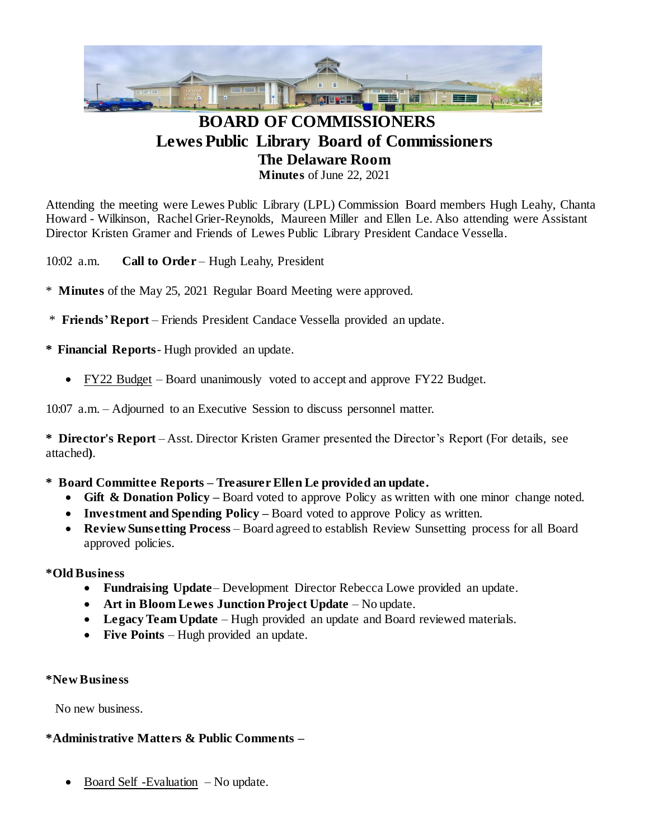

# **BOARD OF COMMISSIONERS Lewes Public Library Board of Commissioners The Delaware Room Minutes** of June 22, 2021

Attending the meeting were Lewes Public Library (LPL) Commission Board members Hugh Leahy, Chanta Howard - Wilkinson, Rachel Grier-Reynolds, Maureen Miller and Ellen Le. Also attending were Assistant Director Kristen Gramer and Friends of Lewes Public Library President Candace Vessella.

10:02 a.m. **Call to Order** – Hugh Leahy, President

- \* **Minutes** of the May 25, 2021 Regular Board Meeting were approved.
- \* **Friends'Report** Friends President Candace Vessella provided an update.

**\* Financial Reports**- Hugh provided an update.

FY22 Budget – Board unanimously voted to accept and approve FY22 Budget.

10:07 a.m. – Adjourned to an Executive Session to discuss personnel matter.

**\* Director's Report** – Asst. Director Kristen Gramer presented the Director's Report (For details, see attached**)**.

## **\* Board Committee Reports – Treasurer Ellen Le provided an update.**

- Gift & Donation Policy Board voted to approve Policy as written with one minor change noted.
- **Investment and Spending Policy –** Board voted to approve Policy as written.
- **Review Sunsetting Process** Board agreed to establish Review Sunsetting process for all Board approved policies.

## **\*Old Business**

- **Fundraising Update** Development Director Rebecca Lowe provided an update.
- **Art in Bloom Lewes Junction Project Update** No update.
- **Legacy Team Update**  Hugh provided an update and Board reviewed materials.
- Five Points Hugh provided an update.

#### **\*New Business**

No new business.

## **\*Administrative Matters & Public Comments –**

Board Self -Evaluation – No update.